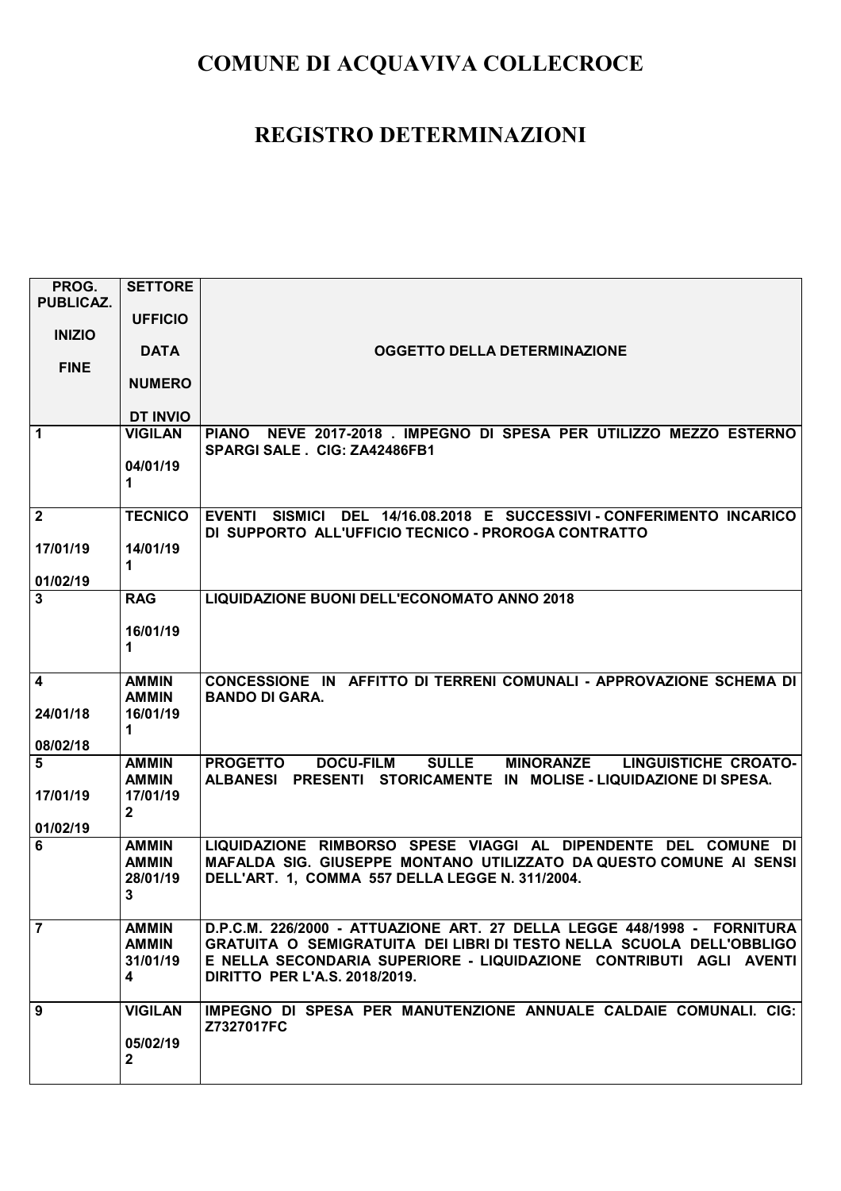| PROG.                   | <b>SETTORE</b>  |                                                                             |
|-------------------------|-----------------|-----------------------------------------------------------------------------|
| <b>PUBLICAZ.</b>        |                 |                                                                             |
| <b>INIZIO</b>           | <b>UFFICIO</b>  |                                                                             |
|                         | <b>DATA</b>     | <b>OGGETTO DELLA DETERMINAZIONE</b>                                         |
| <b>FINE</b>             |                 |                                                                             |
|                         | <b>NUMERO</b>   |                                                                             |
|                         | <b>DT INVIO</b> |                                                                             |
| $\mathbf{1}$            | <b>VIGILAN</b>  | PIANO NEVE 2017-2018 . IMPEGNO DI SPESA PER UTILIZZO MEZZO ESTERNO          |
|                         |                 | SPARGI SALE . CIG: ZA42486FB1                                               |
|                         | 04/01/19        |                                                                             |
|                         | 1.              |                                                                             |
| $\mathbf{2}$            | <b>TECNICO</b>  | EVENTI SISMICI DEL 14/16.08.2018 E SUCCESSIVI - CONFERIMENTO INCARICO       |
|                         |                 | DI SUPPORTO ALL'UFFICIO TECNICO - PROROGA CONTRATTO                         |
| 17/01/19                | 14/01/19        |                                                                             |
| 01/02/19                | 1               |                                                                             |
| $\overline{\mathbf{3}}$ | <b>RAG</b>      | LIQUIDAZIONE BUONI DELL'ECONOMATO ANNO 2018                                 |
|                         |                 |                                                                             |
|                         | 16/01/19        |                                                                             |
|                         | 1               |                                                                             |
| $\overline{\mathbf{4}}$ | <b>AMMIN</b>    | CONCESSIONE IN AFFITTO DI TERRENI COMUNALI - APPROVAZIONE SCHEMA DI         |
|                         | <b>AMMIN</b>    | <b>BANDO DI GARA.</b>                                                       |
| 24/01/18                | 16/01/19        |                                                                             |
| 08/02/18                | 1               |                                                                             |
| 5                       | <b>AMMIN</b>    | SULLE MINORANZE LINGUISTICHE CROATO-<br><b>DOCU-FILM</b><br><b>PROGETTO</b> |
|                         | <b>AMMIN</b>    | ALBANESI PRESENTI STORICAMENTE IN MOLISE - LIQUIDAZIONE DI SPESA.           |
| 17/01/19                | 17/01/19        |                                                                             |
| 01/02/19                | $\mathbf{2}$    |                                                                             |
| 6                       | <b>AMMIN</b>    | LIQUIDAZIONE RIMBORSO SPESE VIAGGI AL DIPENDENTE DEL COMUNE DI              |
|                         | <b>AMMIN</b>    | MAFALDA SIG. GIUSEPPE MONTANO UTILIZZATO DA QUESTO COMUNE AI SENSI          |
|                         | 28/01/19        | DELL'ART. 1, COMMA 557 DELLA LEGGE N. 311/2004.                             |
|                         | 3               |                                                                             |
| $\overline{7}$          | <b>AMMIN</b>    | D.P.C.M. 226/2000 - ATTUAZIONE ART. 27 DELLA LEGGE 448/1998 - FORNITURA     |
|                         | <b>AMMIN</b>    | GRATUITA O SEMIGRATUITA DEI LIBRI DI TESTO NELLA SCUOLA DELL'OBBLIGO        |
|                         | 31/01/19        | E NELLA SECONDARIA SUPERIORE - LIQUIDAZIONE CONTRIBUTI AGLI AVENTI          |
|                         | 4               | <b>DIRITTO PER L'A.S. 2018/2019.</b>                                        |
| 9                       | <b>VIGILAN</b>  | IMPEGNO DI SPESA PER MANUTENZIONE ANNUALE CALDAIE COMUNALI. CIG:            |
|                         |                 | Z7327017FC                                                                  |
|                         | 05/02/19        |                                                                             |
|                         | $\mathbf{2}$    |                                                                             |
|                         |                 |                                                                             |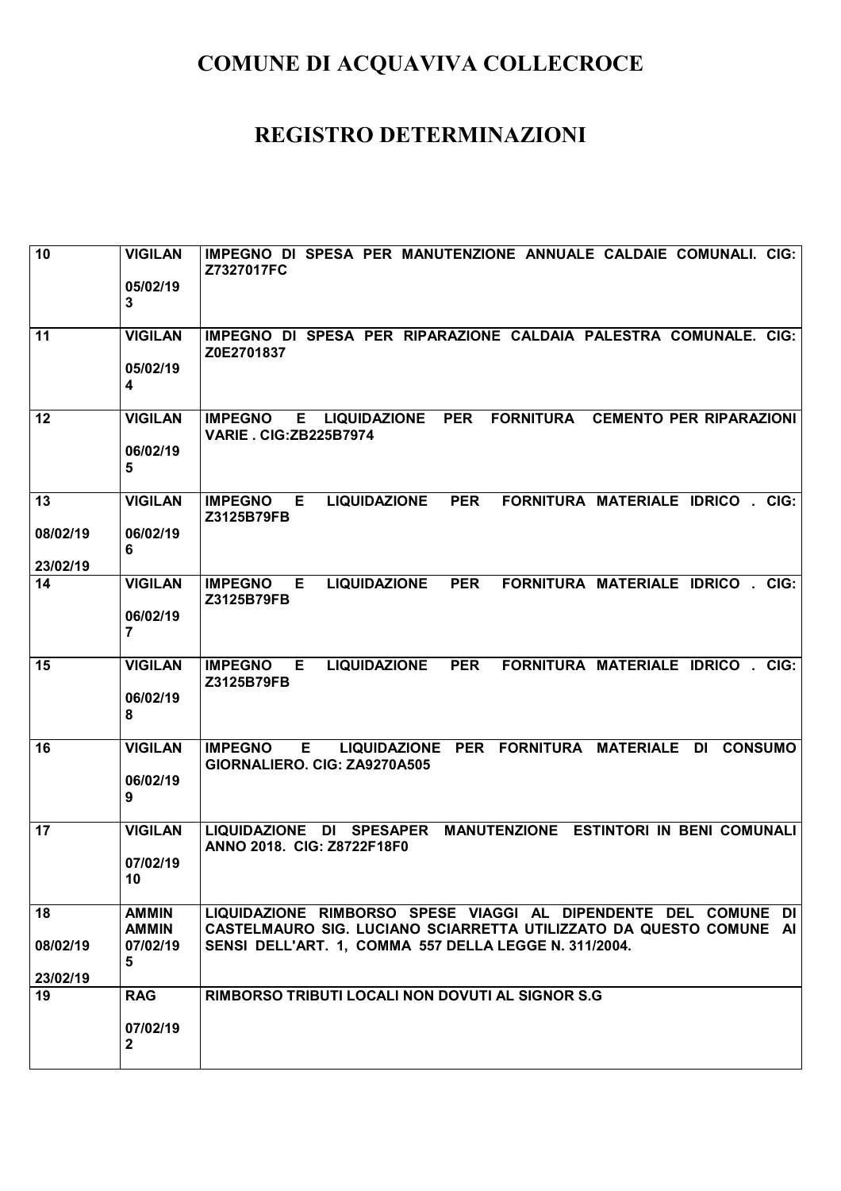| 10                         | <b>VIGILAN</b><br>05/02/19<br>$\mathbf{3}$    | IMPEGNO DI SPESA PER MANUTENZIONE ANNUALE CALDAIE COMUNALI. CIG:<br>Z7327017FC                                                                                                                |
|----------------------------|-----------------------------------------------|-----------------------------------------------------------------------------------------------------------------------------------------------------------------------------------------------|
| 11                         | <b>VIGILAN</b><br>05/02/19<br>4               | IMPEGNO DI SPESA PER RIPARAZIONE CALDAIA PALESTRA COMUNALE. CIG:<br>Z0E2701837                                                                                                                |
| 12                         | <b>VIGILAN</b><br>06/02/19<br>$5\phantom{1}$  | <b>PER</b><br><b>FORNITURA</b><br><b>IMPEGNO</b><br>E.<br><b>LIQUIDAZIONE</b><br><b>CEMENTO PER RIPARAZIONI</b><br><b>VARIE . CIG: ZB225B7974</b>                                             |
| 13<br>08/02/19<br>23/02/19 | <b>VIGILAN</b><br>06/02/19<br>6               | <b>PER</b><br>FORNITURA MATERIALE IDRICO . CIG:<br><b>IMPEGNO</b><br>E<br><b>LIQUIDAZIONE</b><br>Z3125B79FB                                                                                   |
| 14                         | <b>VIGILAN</b><br>06/02/19<br>$\overline{7}$  | <b>LIQUIDAZIONE</b><br><b>PER</b><br><b>FORNITURA MATERIALE IDRICO. CIG:</b><br><b>IMPEGNO</b><br>Е<br>Z3125B79FB                                                                             |
| 15                         | <b>VIGILAN</b><br>06/02/19<br>8               | E<br><b>LIQUIDAZIONE</b><br><b>PER</b><br>FORNITURA MATERIALE IDRICO.<br><b>IMPEGNO</b><br>CIG:<br>Z3125B79FB                                                                                 |
| 16                         | <b>VIGILAN</b><br>06/02/19<br>9               | LIQUIDAZIONE PER FORNITURA MATERIALE<br>E<br><b>CONSUMO</b><br><b>IMPEGNO</b><br>DI<br>GIORNALIERO. CIG: ZA9270A505                                                                           |
| 17                         | <b>VIGILAN</b><br>07/02/19<br>10              | MANUTENZIONE ESTINTORI IN BENI COMUNALI<br><b>LIQUIDAZIONE</b><br><b>SPESAPER</b><br>DI<br>ANNO 2018. CIG: Z8722F18F0                                                                         |
| 18<br>08/02/19<br>23/02/19 | <b>AMMIN</b><br><b>AMMIN</b><br>07/02/19<br>5 | LIQUIDAZIONE RIMBORSO SPESE VIAGGI AL DIPENDENTE DEL COMUNE DI<br>CASTELMAURO SIG. LUCIANO SCIARRETTA UTILIZZATO DA QUESTO COMUNE AI<br>SENSI DELL'ART. 1, COMMA 557 DELLA LEGGE N. 311/2004. |
| 19                         | <b>RAG</b><br>07/02/19<br>$\overline{2}$      | RIMBORSO TRIBUTI LOCALI NON DOVUTI AL SIGNOR S.G                                                                                                                                              |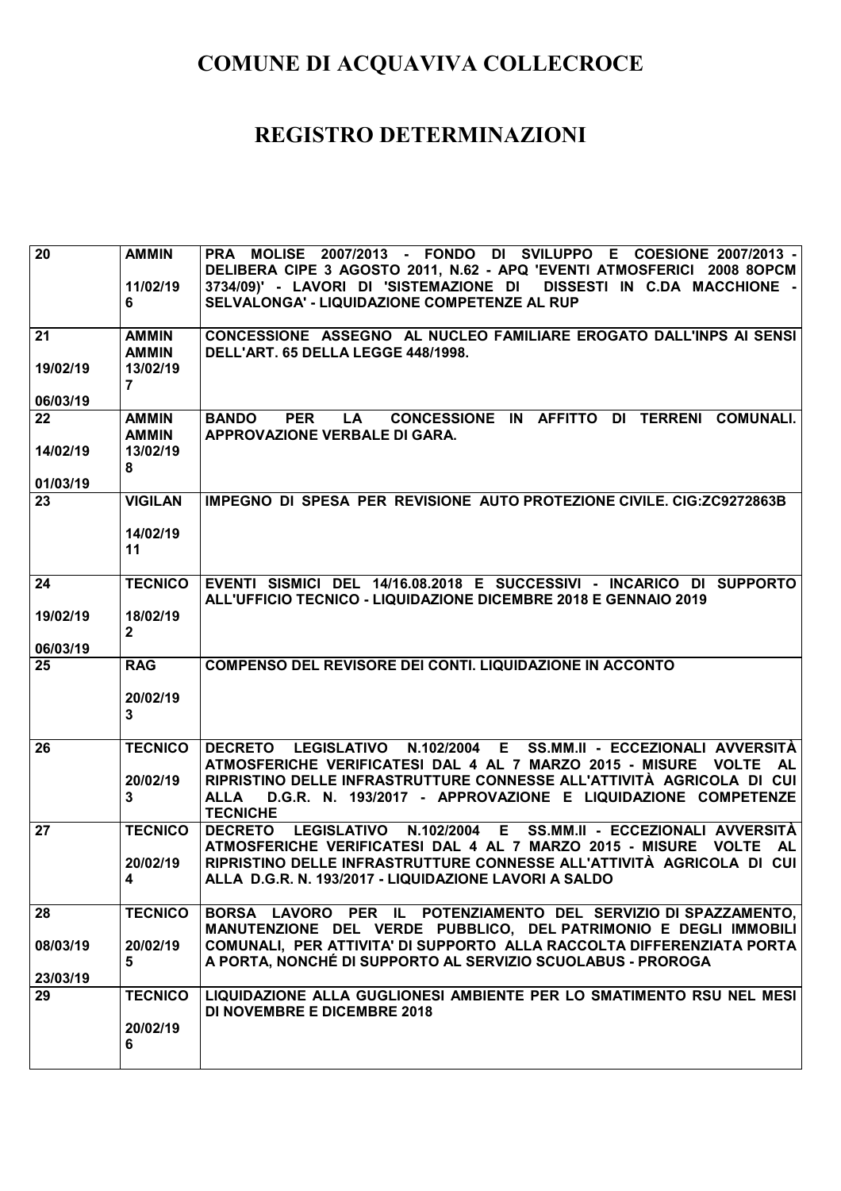| $\overline{20}$            | <b>AMMIN</b><br>11/02/19<br>6                              | PRA MOLISE 2007/2013 - FONDO DI SVILUPPO E COESIONE 2007/2013 -<br>DELIBERA CIPE 3 AGOSTO 2011, N.62 - APQ 'EVENTI ATMOSFERICI 2008 8OPCM<br>3734/09)' - LAVORI DI 'SISTEMAZIONE DI DISSESTI IN C.DA MACCHIONE -<br>SELVALONGA' - LIQUIDAZIONE COMPETENZE AL RUP                                                              |
|----------------------------|------------------------------------------------------------|-------------------------------------------------------------------------------------------------------------------------------------------------------------------------------------------------------------------------------------------------------------------------------------------------------------------------------|
| 21<br>19/02/19<br>06/03/19 | <b>AMMIN</b><br><b>AMMIN</b><br>13/02/19<br>$\overline{7}$ | CONCESSIONE ASSEGNO AL NUCLEO FAMILIARE EROGATO DALL'INPS AI SENSI<br>DELL'ART. 65 DELLA LEGGE 448/1998.                                                                                                                                                                                                                      |
| 22<br>14/02/19<br>01/03/19 | <b>AMMIN</b><br><b>AMMIN</b><br>13/02/19<br>8              | CONCESSIONE IN AFFITTO DI TERRENI COMUNALI.<br><b>BANDO</b><br><b>PER</b><br>LA<br><b>APPROVAZIONE VERBALE DI GARA.</b>                                                                                                                                                                                                       |
| 23                         | <b>VIGILAN</b><br>14/02/19<br>11                           | IMPEGNO DI SPESA PER REVISIONE AUTO PROTEZIONE CIVILE, CIG: ZC9272863B                                                                                                                                                                                                                                                        |
| 24<br>19/02/19<br>06/03/19 | <b>TECNICO</b><br>18/02/19<br>$\overline{2}$               | EVENTI SISMICI DEL 14/16.08.2018 E SUCCESSIVI - INCARICO DI SUPPORTO<br>ALL'UFFICIO TECNICO - LIQUIDAZIONE DICEMBRE 2018 E GENNAIO 2019                                                                                                                                                                                       |
| 25                         | <b>RAG</b><br>20/02/19<br>3                                | <b>COMPENSO DEL REVISORE DEI CONTI. LIQUIDAZIONE IN ACCONTO</b>                                                                                                                                                                                                                                                               |
| 26                         | <b>TECNICO</b><br>20/02/19<br>3                            | LEGISLATIVO N.102/2004 E SS.MM.II - ECCEZIONALI AVVERSITÀ<br><b>DECRETO</b><br>ATMOSFERICHE VERIFICATESI DAL 4 AL 7 MARZO 2015 - MISURE VOLTE<br><b>AL</b><br>RIPRISTINO DELLE INFRASTRUTTURE CONNESSE ALL'ATTIVITÀ AGRICOLA DI CUI<br>D.G.R. N. 193/2017 - APPROVAZIONE E LIQUIDAZIONE COMPETENZE<br>ALLA<br><b>TECNICHE</b> |
| 27                         | <b>TECNICO</b><br>20/02/19<br>4                            | <b>DECRETO</b><br><b>LEGISLATIVO</b><br>N.102/2004<br>E.<br>SS.MM.II - ECCEZIONALI AVVERSITÀ<br>ATMOSFERICHE VERIFICATESI DAL 4 AL 7 MARZO 2015 - MISURE<br><b>VOLTE</b><br><b>AL</b><br>RIPRISTINO DELLE INFRASTRUTTURE CONNESSE ALL'ATTIVITÀ AGRICOLA DI CUI<br>ALLA D.G.R. N. 193/2017 - LIQUIDAZIONE LAVORI A SALDO       |
| 28<br>08/03/19<br>23/03/19 | <b>TECNICO</b><br>20/02/19<br>5                            | BORSA LAVORO PER IL POTENZIAMENTO DEL SERVIZIO DI SPAZZAMENTO,<br>MANUTENZIONE DEL VERDE PUBBLICO, DEL PATRIMONIO E DEGLI IMMOBILI<br>COMUNALI, PER ATTIVITA' DI SUPPORTO ALLA RACCOLTA DIFFERENZIATA PORTA<br>A PORTA, NONCHÉ DI SUPPORTO AL SERVIZIO SCUOLABUS - PROROGA                                                    |
| 29                         | <b>TECNICO</b><br>20/02/19<br>6                            | LIQUIDAZIONE ALLA GUGLIONESI AMBIENTE PER LO SMATIMENTO RSU NEL MESI<br><b>DI NOVEMBRE E DICEMBRE 2018</b>                                                                                                                                                                                                                    |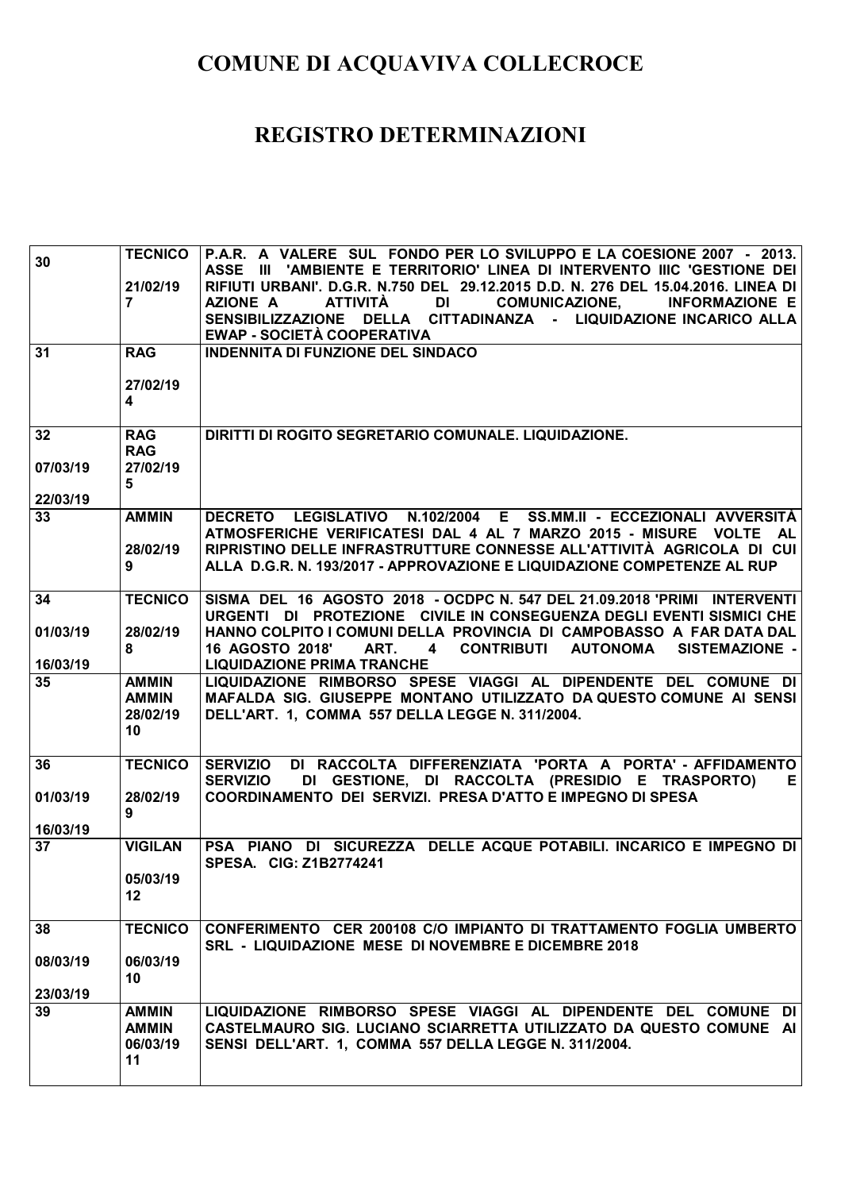| 30                         | <b>TECNICO</b><br>21/02/19<br>$\mathbf{7}$        | P.A.R. A VALERE SUL FONDO PER LO SVILUPPO E LA COESIONE 2007 - 2013.<br>III 'AMBIENTE E TERRITORIO' LINEA DI INTERVENTO IIIC 'GESTIONE DEI<br><b>ASSE</b><br>RIFIUTI URBANI', D.G.R. N.750 DEL 29.12.2015 D.D. N. 276 DEL 15.04.2016, LINEA DI<br><b>AZIONE A</b><br><b>ATTIVITÀ</b><br>DI<br><b>COMUNICAZIONE,</b><br><b>INFORMAZIONE E</b><br>DELLA CITTADINANZA - LIQUIDAZIONE INCARICO ALLA<br><b>SENSIBILIZZAZIONE</b> |
|----------------------------|---------------------------------------------------|-----------------------------------------------------------------------------------------------------------------------------------------------------------------------------------------------------------------------------------------------------------------------------------------------------------------------------------------------------------------------------------------------------------------------------|
| 31                         | <b>RAG</b><br>27/02/19<br>$\overline{\mathbf{4}}$ | EWAP - SOCIETÀ COOPERATIVA<br><b>INDENNITA DI FUNZIONE DEL SINDACO</b>                                                                                                                                                                                                                                                                                                                                                      |
| 32<br>07/03/19<br>22/03/19 | <b>RAG</b><br><b>RAG</b><br>27/02/19<br>5         | DIRITTI DI ROGITO SEGRETARIO COMUNALE. LIQUIDAZIONE.                                                                                                                                                                                                                                                                                                                                                                        |
| 33                         | <b>AMMIN</b><br>28/02/19<br>9                     | DECRETO LEGISLATIVO N.102/2004 E SS.MM.II - ECCEZIONALI AVVERSITÀ<br>ATMOSFERICHE VERIFICATESI DAL 4 AL 7 MARZO 2015 - MISURE VOLTE<br><b>AL</b><br>RIPRISTINO DELLE INFRASTRUTTURE CONNESSE ALL'ATTIVITÀ AGRICOLA DI CUI<br>ALLA D.G.R. N. 193/2017 - APPROVAZIONE E LIQUIDAZIONE COMPETENZE AL RUP                                                                                                                        |
| 34<br>01/03/19<br>16/03/19 | <b>TECNICO</b><br>28/02/19<br>8                   | SISMA DEL 16 AGOSTO 2018 - OCDPC N. 547 DEL 21.09.2018 'PRIMI INTERVENTI<br>URGENTI DI PROTEZIONE CIVILE IN CONSEGUENZA DEGLI EVENTI SISMICI CHE<br>HANNO COLPITO I COMUNI DELLA PROVINCIA DI CAMPOBASSO A FAR DATA DAL<br>16 AGOSTO 2018'<br>ART. 4<br><b>CONTRIBUTI</b><br><b>AUTONOMA</b><br><b>SISTEMAZIONE -</b><br><b>LIQUIDAZIONE PRIMA TRANCHE</b>                                                                  |
| 35                         | <b>AMMIN</b><br><b>AMMIN</b><br>28/02/19<br>10    | LIQUIDAZIONE RIMBORSO SPESE VIAGGI AL DIPENDENTE DEL COMUNE DI<br>MAFALDA SIG. GIUSEPPE MONTANO UTILIZZATO DA QUESTO COMUNE AI SENSI<br>DELL'ART. 1, COMMA 557 DELLA LEGGE N. 311/2004.                                                                                                                                                                                                                                     |
| 36<br>01/03/19<br>16/03/19 | <b>TECNICO</b><br>28/02/19<br>9                   | DI RACCOLTA DIFFERENZIATA 'PORTA A PORTA' - AFFIDAMENTO<br><b>SERVIZIO</b><br>DI GESTIONE, DI RACCOLTA (PRESIDIO E TRASPORTO)<br><b>SERVIZIO</b><br>Е<br>COORDINAMENTO DEI SERVIZI. PRESA D'ATTO E IMPEGNO DI SPESA                                                                                                                                                                                                         |
| 37                         | <b>VIGILAN</b><br>05/03/19<br>12                  | PSA PIANO DI SICUREZZA DELLE ACQUE POTABILI. INCARICO E IMPEGNO DI<br>SPESA. CIG: Z1B2774241                                                                                                                                                                                                                                                                                                                                |
| 38<br>08/03/19<br>23/03/19 | <b>TECNICO</b><br>06/03/19<br>10                  | CONFERIMENTO CER 200108 C/O IMPIANTO DI TRATTAMENTO FOGLIA UMBERTO<br><b>SRL - LIQUIDAZIONE MESE DI NOVEMBRE E DICEMBRE 2018</b>                                                                                                                                                                                                                                                                                            |
| 39                         | <b>AMMIN</b><br><b>AMMIN</b><br>06/03/19<br>11    | LIQUIDAZIONE RIMBORSO SPESE VIAGGI AL DIPENDENTE DEL COMUNE DI<br>CASTELMAURO SIG. LUCIANO SCIARRETTA UTILIZZATO DA QUESTO COMUNE AI<br>SENSI DELL'ART. 1, COMMA 557 DELLA LEGGE N. 311/2004.                                                                                                                                                                                                                               |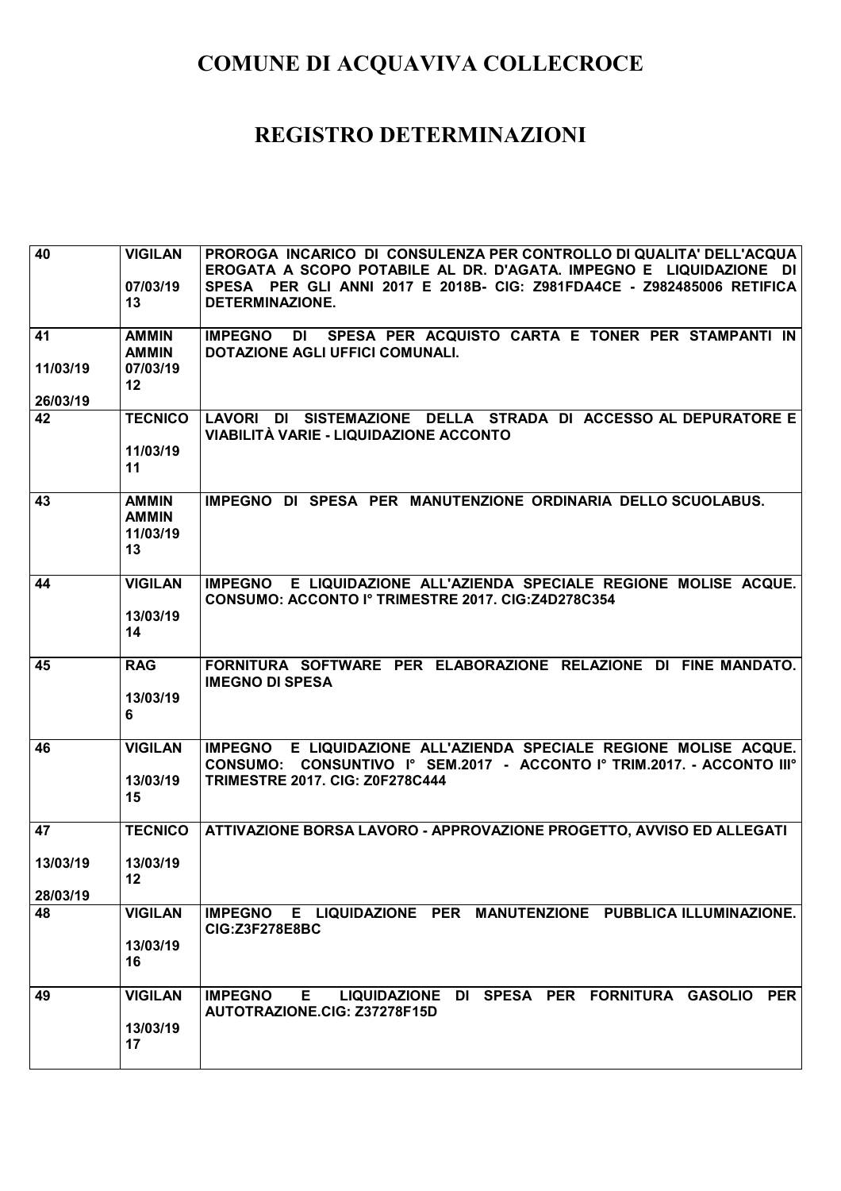| 40                   | <b>VIGILAN</b><br>07/03/19<br>13               | PROROGA INCARICO DI CONSULENZA PER CONTROLLO DI QUALITA' DELL'ACQUA<br>EROGATA A SCOPO POTABILE AL DR. D'AGATA. IMPEGNO E LIQUIDAZIONE DI<br>SPESA PER GLI ANNI 2017 E 2018B- CIG: Z981FDA4CE - Z982485006 RETIFICA<br><b>DETERMINAZIONE.</b> |
|----------------------|------------------------------------------------|-----------------------------------------------------------------------------------------------------------------------------------------------------------------------------------------------------------------------------------------------|
| 41                   | <b>AMMIN</b><br><b>AMMIN</b>                   | SPESA PER ACQUISTO CARTA E TONER PER STAMPANTI IN<br><b>IMPEGNO</b><br>DI<br>DOTAZIONE AGLI UFFICI COMUNALI.                                                                                                                                  |
| 11/03/19<br>26/03/19 | 07/03/19<br>$12 \,$                            |                                                                                                                                                                                                                                               |
| 42                   | <b>TECNICO</b><br>11/03/19<br>11               | LAVORI DI SISTEMAZIONE DELLA STRADA DI ACCESSO AL DEPURATORE E<br>VIABILITÀ VARIE - LIQUIDAZIONE ACCONTO                                                                                                                                      |
| 43                   | <b>AMMIN</b><br><b>AMMIN</b><br>11/03/19<br>13 | IMPEGNO DI SPESA PER MANUTENZIONE ORDINARIA DELLO SCUOLABUS.                                                                                                                                                                                  |
| 44                   | <b>VIGILAN</b><br>13/03/19<br>14               | IMPEGNO E LIQUIDAZIONE ALL'AZIENDA SPECIALE REGIONE MOLISE ACQUE.<br>CONSUMO: ACCONTO Iº TRIMESTRE 2017. CIG:Z4D278C354                                                                                                                       |
| 45                   | <b>RAG</b><br>13/03/19<br>6                    | FORNITURA SOFTWARE PER ELABORAZIONE RELAZIONE DI FINE MANDATO.<br><b>IMEGNO DI SPESA</b>                                                                                                                                                      |
| 46                   | <b>VIGILAN</b><br>13/03/19<br>15               | IMPEGNO E LIQUIDAZIONE ALL'AZIENDA SPECIALE REGIONE MOLISE ACQUE.<br>CONSUMO: CONSUNTIVO Iº SEM.2017 - ACCONTO Iº TRIM.2017. - ACCONTO IIIº<br><b>TRIMESTRE 2017. CIG: Z0F278C444</b>                                                         |
| 47                   | <b>TECNICO</b>                                 | ATTIVAZIONE BORSA LAVORO - APPROVAZIONE PROGETTO, AVVISO ED ALLEGATI                                                                                                                                                                          |
| 13/03/19<br>28/03/19 | 13/03/19<br>12                                 |                                                                                                                                                                                                                                               |
| 48                   | <b>VIGILAN</b><br>13/03/19<br>16               | IMPEGNO E LIQUIDAZIONE PER MANUTENZIONE PUBBLICA ILLUMINAZIONE.<br><b>CIG:Z3F278E8BC</b>                                                                                                                                                      |
| 49                   | <b>VIGILAN</b><br>13/03/19<br>17               | LIQUIDAZIONE DI SPESA PER FORNITURA GASOLIO PER<br><b>IMPEGNO</b><br>E.<br>AUTOTRAZIONE.CIG: Z37278F15D                                                                                                                                       |